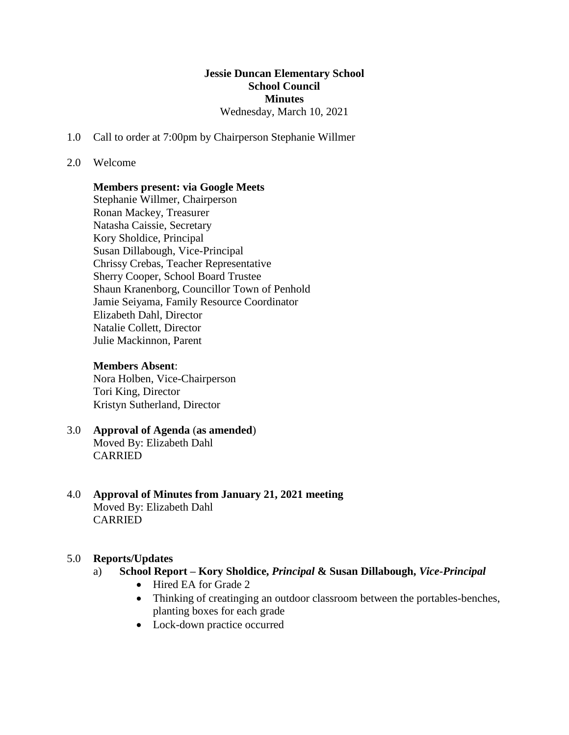#### **Jessie Duncan Elementary School School Council Minutes** Wednesday, March 10, 2021

1.0 Call to order at 7:00pm by Chairperson Stephanie Willmer

#### 2.0 Welcome

#### **Members present: via Google Meets**

Stephanie Willmer, Chairperson Ronan Mackey, Treasurer Natasha Caissie, Secretary Kory Sholdice, Principal Susan Dillabough, Vice-Principal Chrissy Crebas, Teacher Representative Sherry Cooper, School Board Trustee Shaun Kranenborg, Councillor Town of Penhold Jamie Seiyama, Family Resource Coordinator Elizabeth Dahl, Director Natalie Collett, Director Julie Mackinnon, Parent

#### **Members Absent**:

Nora Holben, Vice-Chairperson Tori King, Director Kristyn Sutherland, Director

- 3.0 **Approval of Agenda** (**as amended**) Moved By: Elizabeth Dahl CARRIED
- 4.0 **Approval of Minutes from January 21, 2021 meeting** Moved By: Elizabeth Dahl CARRIED

#### 5.0 **Reports/Updates**

- a) **School Report – Kory Sholdice,** *Principal* **& Susan Dillabough,** *Vice-Principal*
	- Hired EA for Grade 2
	- Thinking of creatinging an outdoor classroom between the portables-benches, planting boxes for each grade
	- Lock-down practice occurred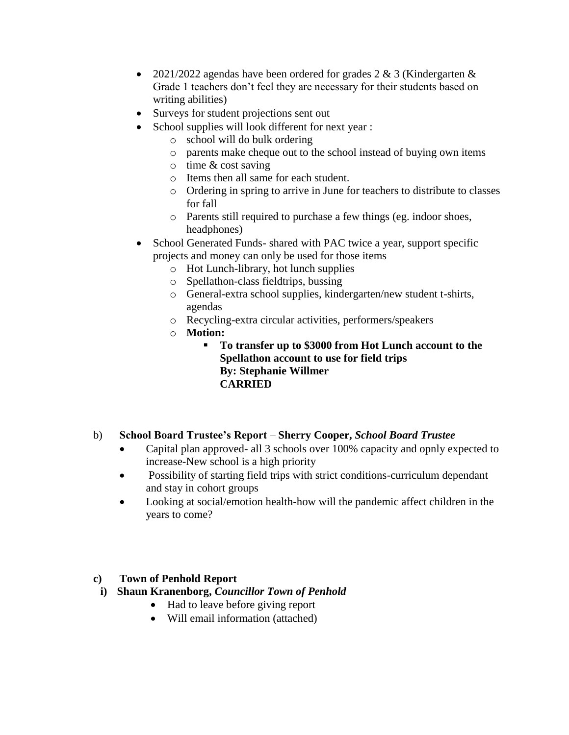- 2021/2022 agendas have been ordered for grades  $2 \& 3$  (Kindergarten  $\&$ Grade 1 teachers don't feel they are necessary for their students based on writing abilities)
- Surveys for student projections sent out
- School supplies will look different for next year :
	- o school will do bulk ordering
	- o parents make cheque out to the school instead of buying own items
	- o time & cost saving
	- o Items then all same for each student.
	- o Ordering in spring to arrive in June for teachers to distribute to classes for fall
	- o Parents still required to purchase a few things (eg. indoor shoes, headphones)
- School Generated Funds- shared with PAC twice a year, support specific projects and money can only be used for those items
	- o Hot Lunch-library, hot lunch supplies
	- o Spellathon-class fieldtrips, bussing
	- o General-extra school supplies, kindergarten/new student t-shirts, agendas
	- o Recycling-extra circular activities, performers/speakers
	- o **Motion:**
		- **To transfer up to \$3000 from Hot Lunch account to the Spellathon account to use for field trips By: Stephanie Willmer CARRIED**
- b) **School Board Trustee's Report Sherry Cooper,** *School Board Trustee*
	- Capital plan approved- all 3 schools over 100% capacity and opnly expected to increase-New school is a high priority
	- Possibility of starting field trips with strict conditions-curriculum dependant and stay in cohort groups
	- Looking at social/emotion health-how will the pandemic affect children in the years to come?

### **c) Town of Penhold Report**

- **i) Shaun Kranenborg,** *Councillor Town of Penhold*
	- Had to leave before giving report
	- Will email information (attached)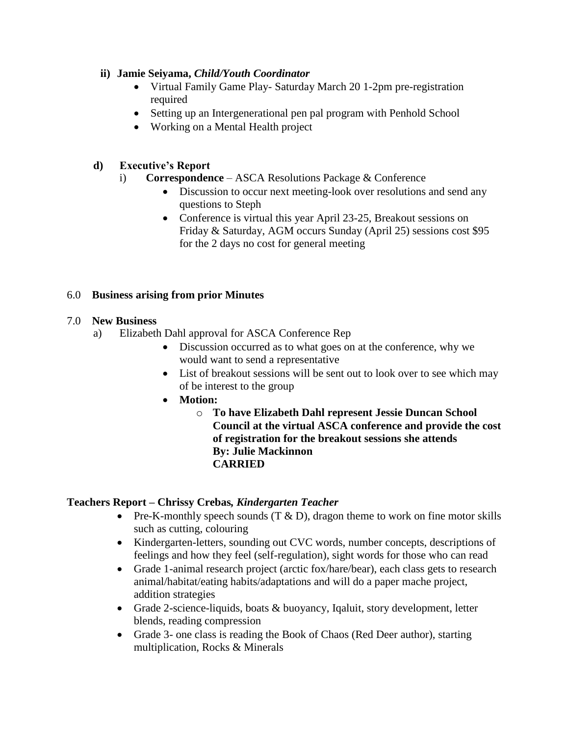### **ii) Jamie Seiyama,** *Child/Youth Coordinator*

- Virtual Family Game Play- Saturday March 20 1-2pm pre-registration required
- Setting up an Intergenerational pen pal program with Penhold School
- Working on a Mental Health project

## **d) Executive's Report**

- i) **Correspondence** ASCA Resolutions Package & Conference
	- Discussion to occur next meeting-look over resolutions and send any questions to Steph
	- Conference is virtual this year April 23-25, Breakout sessions on Friday & Saturday, AGM occurs Sunday (April 25) sessions cost \$95 for the 2 days no cost for general meeting

### 6.0 **Business arising from prior Minutes**

### 7.0 **New Business**

- a) Elizabeth Dahl approval for ASCA Conference Rep
	- Discussion occurred as to what goes on at the conference, why we would want to send a representative
	- List of breakout sessions will be sent out to look over to see which may of be interest to the group
	- **Motion:**
		- o **To have Elizabeth Dahl represent Jessie Duncan School Council at the virtual ASCA conference and provide the cost of registration for the breakout sessions she attends By: Julie Mackinnon CARRIED**

### **Teachers Report – Chrissy Crebas***, Kindergarten Teacher*

- Pre-K-monthly speech sounds  $(T & D)$ , dragon theme to work on fine motor skills such as cutting, colouring
- Kindergarten-letters, sounding out CVC words, number concepts, descriptions of feelings and how they feel (self-regulation), sight words for those who can read
- Grade 1-animal research project (arctic fox/hare/bear), each class gets to research animal/habitat/eating habits/adaptations and will do a paper mache project, addition strategies
- Grade 2-science-liquids, boats & buoyancy, Iqaluit, story development, letter blends, reading compression
- Grade 3- one class is reading the Book of Chaos (Red Deer author), starting multiplication, Rocks & Minerals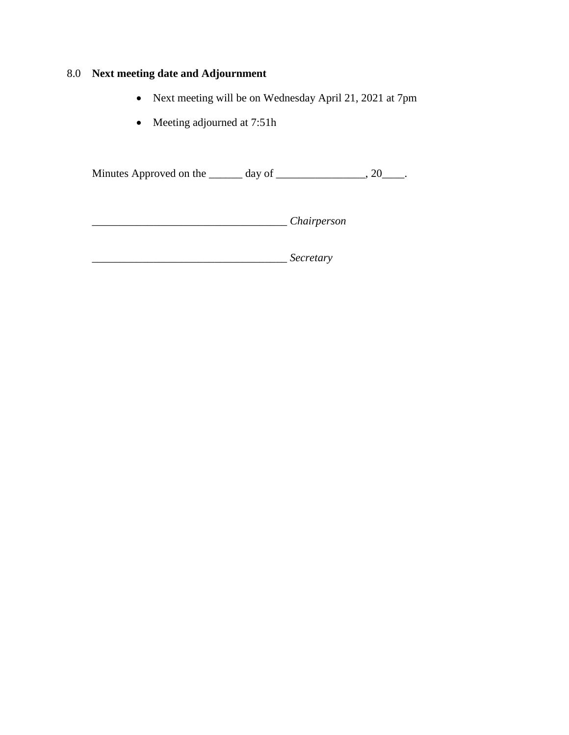# 8.0 **Next meeting date and Adjournment**

- Next meeting will be on Wednesday April 21, 2021 at 7pm
- Meeting adjourned at 7:51h

Minutes Approved on the \_\_\_\_\_\_ day of \_\_\_\_\_\_\_\_\_\_\_\_\_\_\_, 20\_\_\_\_.

\_\_\_\_\_\_\_\_\_\_\_\_\_\_\_\_\_\_\_\_\_\_\_\_\_\_\_\_\_\_\_\_\_\_\_ *Chairperson*

\_\_\_\_\_\_\_\_\_\_\_\_\_\_\_\_\_\_\_\_\_\_\_\_\_\_\_\_\_\_\_\_\_\_\_ *Secretary*